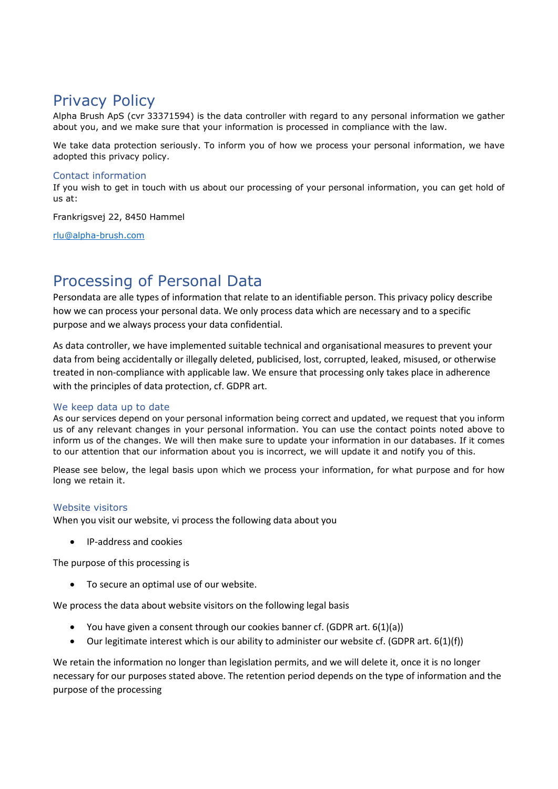# Privacy Policy

Alpha Brush ApS (cvr 33371594) is the data controller with regard to any personal information we gather about you, and we make sure that your information is processed in compliance with the law.

We take data protection seriously. To inform you of how we process your personal information, we have adopted this privacy policy.

### Contact information

If you wish to get in touch with us about our processing of your personal information, you can get hold of us at:

Frankrigsvej 22, 8450 Hammel

[rlu@alpha-brush.com](mailto:rlu@alpha-brush.com)

## Processing of Personal Data

Persondata are alle types of information that relate to an identifiable person. This privacy policy describe how we can process your personal data. We only process data which are necessary and to a specific purpose and we always process your data confidential.

As data controller, we have implemented suitable technical and organisational measures to prevent your data from being accidentally or illegally deleted, publicised, lost, corrupted, leaked, misused, or otherwise treated in non-compliance with applicable law. We ensure that processing only takes place in adherence with the principles of data protection, cf. GDPR art.

## We keep data up to date

As our services depend on your personal information being correct and updated, we request that you inform us of any relevant changes in your personal information. You can use the contact points noted above to inform us of the changes. We will then make sure to update your information in our databases. If it comes to our attention that our information about you is incorrect, we will update it and notify you of this.

Please see below, the legal basis upon which we process your information, for what purpose and for how long we retain it.

#### Website visitors

When you visit our website, vi process the following data about you

• IP-address and cookies

The purpose of this processing is

• To secure an optimal use of our website.

We process the data about website visitors on the following legal basis

- You have given a consent through our cookies banner cf. (GDPR art. 6(1)(a))
- Our legitimate interest which is our ability to administer our website cf. (GDPR art. 6(1)(f))

We retain the information no longer than legislation permits, and we will delete it, once it is no longer necessary for our purposes stated above. The retention period depends on the type of information and the purpose of the processing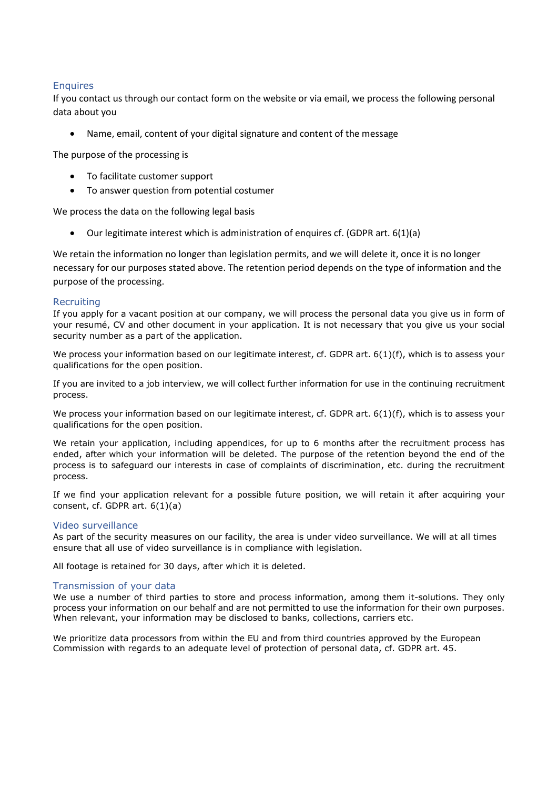## **Enquires**

If you contact us through our contact form on the website or via email, we process the following personal data about you

Name, email, content of your digital signature and content of the message

The purpose of the processing is

- To facilitate customer support
- To answer question from potential costumer

We process the data on the following legal basis

• Our legitimate interest which is administration of enquires cf. (GDPR art. 6(1)(a)

We retain the information no longer than legislation permits, and we will delete it, once it is no longer necessary for our purposes stated above. The retention period depends on the type of information and the purpose of the processing.

#### **Recruiting**

If you apply for a vacant position at our company, we will process the personal data you give us in form of your resumé, CV and other document in your application. It is not necessary that you give us your social security number as a part of the application.

We process your information based on our legitimate interest, cf. GDPR art. 6(1)(f), which is to assess your qualifications for the open position.

If you are invited to a job interview, we will collect further information for use in the continuing recruitment process.

We process your information based on our legitimate interest, cf. GDPR art. 6(1)(f), which is to assess your qualifications for the open position.

We retain your application, including appendices, for up to 6 months after the recruitment process has ended, after which your information will be deleted. The purpose of the retention beyond the end of the process is to safeguard our interests in case of complaints of discrimination, etc. during the recruitment process.

If we find your application relevant for a possible future position, we will retain it after acquiring your consent, cf. GDPR art. 6(1)(a)

#### Video surveillance

As part of the security measures on our facility, the area is under video surveillance. We will at all times ensure that all use of video surveillance is in compliance with legislation.

All footage is retained for 30 days, after which it is deleted.

#### Transmission of your data

We use a number of third parties to store and process information, among them it-solutions. They only process your information on our behalf and are not permitted to use the information for their own purposes. When relevant, your information may be disclosed to banks, collections, carriers etc.

We prioritize data processors from within the EU and from third countries approved by the European Commission with regards to an adequate level of protection of personal data, cf. GDPR art. 45.